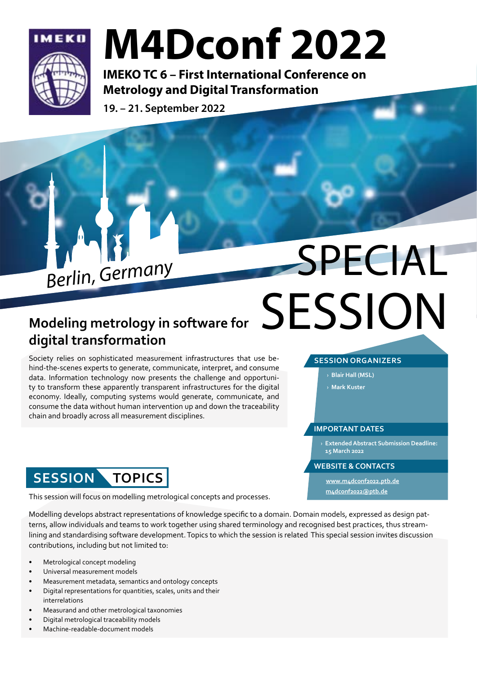

## M4Dconf 2022

IMEKO TC 6 – First International Conference on Metrology and Digital Transformation

19. – 21. September 2022



### **Modeling metrology in software for digital transformation**

Society relies on sophisticated measurement infrastructures that use behind-the-scenes experts to generate, communicate, interpret, and consume data. Information technology now presents the challenge and opportunity to transform these apparently transparent infrastructures for the digital economy. Ideally, computing systems would generate, communicate, and consume the data without human intervention up and down the traceability chain and broadly across all measurement disciplines.

## **SESSION TOPICS**

This session will focus on modelling metrological concepts and processes.

Modelling develops abstract representations of knowledge specific to a domain. Domain models, expressed as design patterns, allow individuals and teams to work together using shared terminology and recognised best practices, thus streamlining and standardising software development. Topics to which the session is related This special session invites discussion contributions, including but not limited to:

- Metrological concept modeling
- Universal measurement models
- Measurement metadata, semantics and ontology concepts
- Digital representations for quantities, scales, units and their interrelations
- Measurand and other metrological taxonomies
- Digital metrological traceability models
- Machine-readable-document models

# **Berlin, Germany** SPECIAL **SESSION**

### **SESSION ORGANIZERS**

› **Blair Hall (MSL)**

› **Mark Kuster**

### **IMPORTANT DATES**

› **Extended Abstract Submission Deadline: 15 March 2022**

#### **WEBSITE & CONTACTS**

**[www.m4dconf2022.ptb.de](https://www.m4dconf2022.ptb.de/author-information#c2271) [m4dconf2022@ptb.de](mailto:m4dconf2022%40ptb.de?subject=)**